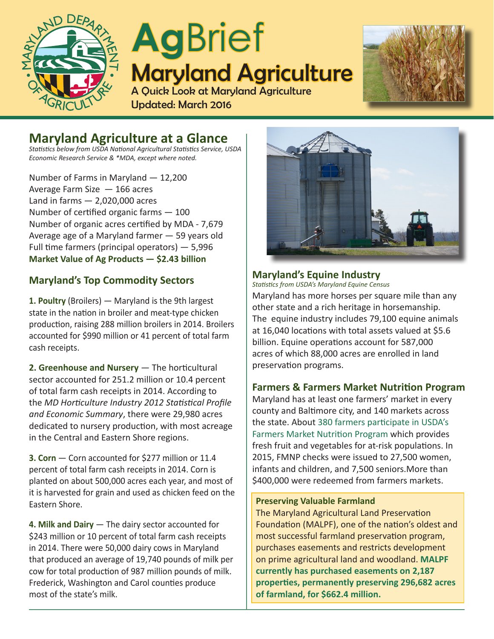

# **Ag**Brief Maryland Agriculture A Quick Look at Maryland Agriculture



## **Maryland Agriculture at a Glance**

*Statistics below from USDA National Agricultural Statistics Service, USDA Economic Research Service & \*MDA, except where noted.*

Updated: March 2016

Number of Farms in Maryland — 12,200 Average Farm Size — 166 acres Land in farms  $-2,020,000$  acres Number of certified organic farms — 100 Number of organic acres certified by MDA - 7,679 Average age of a Maryland farmer — 59 years old Full time farmers (principal operators) — 5,996 **Market Value of Ag Products — \$2.43 billion** 

## **Maryland's Top Commodity Sectors**

**1. Poultry** (Broilers) — Maryland is the 9th largest state in the nation in broiler and meat-type chicken production, raising 288 million broilers in 2014. Broilers accounted for \$990 million or 41 percent of total farm cash receipts.

**2. Greenhouse and Nursery** — The horticultural sector accounted for 251.2 million or 10.4 percent of total farm cash receipts in 2014. According to the *MD Horticulture Industry 2012 Statistical Profile and Economic Summary*, there were 29,980 acres dedicated to nursery production, with most acreage in the Central and Eastern Shore regions.

**3. Corn** — Corn accounted for \$277 million or 11.4 percent of total farm cash receipts in 2014. Corn is planted on about 500,000 acres each year, and most of it is harvested for grain and used as chicken feed on the Eastern Shore.

**4. Milk and Dairy** — The dairy sector accounted for \$243 million or 10 percent of total farm cash receipts in 2014. There were 50,000 dairy cows in Maryland that produced an average of 19,740 pounds of milk per cow for total production of 987 million pounds of milk. Frederick, Washington and Carol counties produce most of the state's milk.



## **Maryland's Equine Industry**

*Statistics from USDA's Maryland Equine Census*

Maryland has more horses per square mile than any other state and a rich heritage in horsemanship. The equine industry includes 79,100 equine animals at 16,040 locations with total assets valued at \$5.6 billion. Equine operations account for 587,000 acres of which 88,000 acres are enrolled in land preservation programs.

### **Farmers & Farmers Market Nutrition Program**

Maryland has at least one farmers' market in every county and Baltimore city, and 140 markets across the state. About 380 farmers participate in USDA's Farmers Market Nutrition Program which provides fresh fruit and vegetables for at-risk populations. In 2015, FMNP checks were issued to 27,500 women, infants and children, and 7,500 seniors.More than \$400,000 were redeemed from farmers markets.

#### **Preserving Valuable Farmland**

The Maryland Agricultural Land Preservation Foundation (MALPF), one of the nation's oldest and most successful farmland preservation program, purchases easements and restricts development on prime agricultural land and woodland. **MALPF currently has purchased easements on 2,187 properties, permanently preserving 296,682 acres of farmland, for \$662.4 million.**